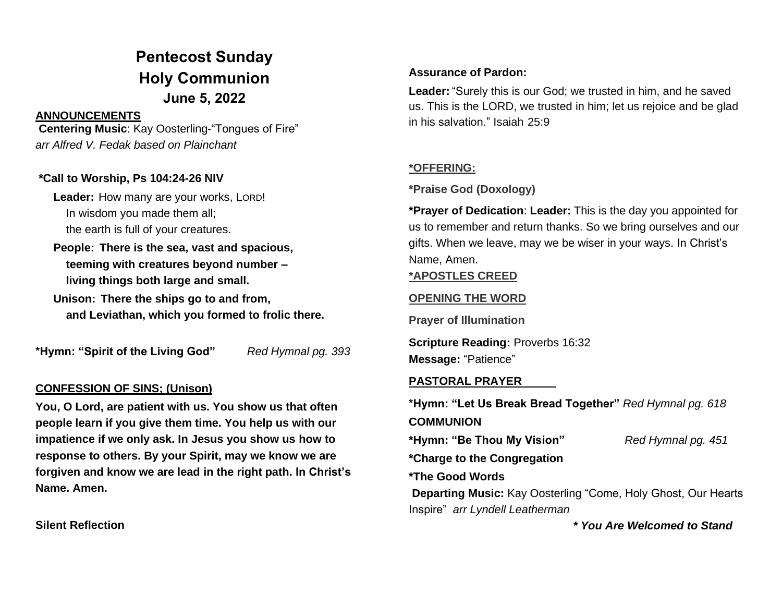# **Pentecost Sunday Holy Communion June 5, 2022**

#### **ANNOUNCEMENTS**

**Centering Music**: Kay Oosterling-"Tongues of Fire" *arr Alfred V. Fedak based on Plainchant* 

#### **\*Call to Worship, Ps 104:24-26 NIV**

**Leader:** How many are your works, LORD! In wisdom you made them all; the earth is full of your creatures.

**People: There is the sea, vast and spacious, teeming with creatures beyond number – living things both large and small.** 

**Unison: There the ships go to and from, and Leviathan, which you formed to frolic there.** 

**\*Hymn: "Spirit of the Living God"** *Red Hymnal pg. 393*

#### **CONFESSION OF SINS; (Unison)**

**You, O Lord, are patient with us. You show us that often people learn if you give them time. You help us with our impatience if we only ask. In Jesus you show us how to response to others. By your Spirit, may we know we are forgiven and know we are lead in the right path. In Christ's Name. Amen.**

**Silent Reflection**

#### **Assurance of Pardon:**

**Leader:** "Surely this is our God; we trusted in him, and he saved us. This is the LORD, we trusted in him; let us rejoice and be glad in his salvation." Isaiah 25:9

### **\*OFFERING:**

**\*Praise God (Doxology)**

**\*Prayer of Dedication**: **Leader:** This is the day you appointed for us to remember and return thanks. So we bring ourselves and our gifts. When we leave, may we be wiser in your ways. In Christ's Name, Amen.

#### **\*APOSTLES CREED**

## **OPENING THE WORD**

**Prayer of Illumination**

**Scripture Reading:** Proverbs 16:32 **Message:** "Patience"

#### **PASTORAL PRAYER**

**\*Hymn: "Let Us Break Bread Together"** *Red Hymnal pg. 618* **COMMUNION \*Hymn: "Be Thou My Vision"** *Red Hymnal pg. 451* **\*Charge to the Congregation**

**\*The Good Words**

**Departing Music:** Kay Oosterling "Come, Holy Ghost, Our Hearts Inspire" *arr Lyndell Leatherman*

 *\* You Are Welcomed to Stand*